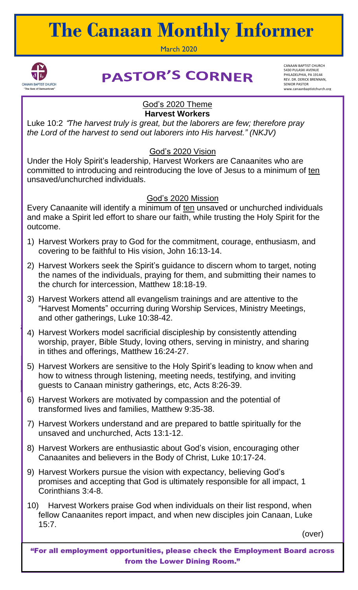# **The Canaan Monthly Informer**

March 2020



## **PASTOR'S CORNER**

CANAAN BAPTIST CHURCH 5430 PULASKI AVENUE PHILADELPHIA, PA 19144 REV. DR. DERICK BRENNAN, SENIOR PASTOR www.canaanbaptistchurch.org

#### God's 2020 Theme **Harvest Workers**

Luke 10:2 "*The harvest truly is great, but the laborers are few; therefore pray the Lord of the harvest to send out laborers into His harvest." (NKJV)*

### God's 2020 Vision

Under the Holy Spirit's leadership, Harvest Workers are Canaanites who are committed to introducing and reintroducing the love of Jesus to a minimum of ten unsaved/unchurched individuals.

#### God's 2020 Mission

Every Canaanite will identify a minimum of ten unsaved or unchurched individuals and make a Spirit led effort to share our faith, while trusting the Holy Spirit for the outcome.

- 1) Harvest Workers pray to God for the commitment, courage, enthusiasm, and covering to be faithful to His vision, John 16:13-14.
- 2) Harvest Workers seek the Spirit's guidance to discern whom to target, noting the names of the individuals, praying for them, and submitting their names to the church for intercession, Matthew 18:18-19.
- 3) Harvest Workers attend all evangelism trainings and are attentive to the "Harvest Moments" occurring during Worship Services, Ministry Meetings, and other gatherings, Luke 10:38-42.
- 4) Harvest Workers model sacrificial discipleship by consistently attending worship, prayer, Bible Study, loving others, serving in ministry, and sharing in tithes and offerings, Matthew 16:24-27.
- 5) Harvest Workers are sensitive to the Holy Spirit's leading to know when and how to witness through listening, meeting needs, testifying, and inviting guests to Canaan ministry gatherings, etc, Acts 8:26-39.
- 6) Harvest Workers are motivated by compassion and the potential of transformed lives and families, Matthew 9:35-38.
- 7) Harvest Workers understand and are prepared to battle spiritually for the unsaved and unchurched, Acts 13:1-12.
- **December Door to Door Visits will take place:** Canaanites and believers in the Body of Christ, Luke 10:17-24. 8) Harvest Workers are enthusiastic about God's vision, encouraging other
- 9) Harvest Workers pursue the vision with expectancy, believing God's promises and accepting that God is ultimately responsible for all impact, 1 Corinthians 3:4-8.
- 10) Harvest Workers praise God when individuals on their list respond, when fellow Canaanites report impact, and when new disciples join Canaan, Luke 15:7.

(over)

"For all employment opportunities, please check the Employment Board across from the Lower Dining Room."